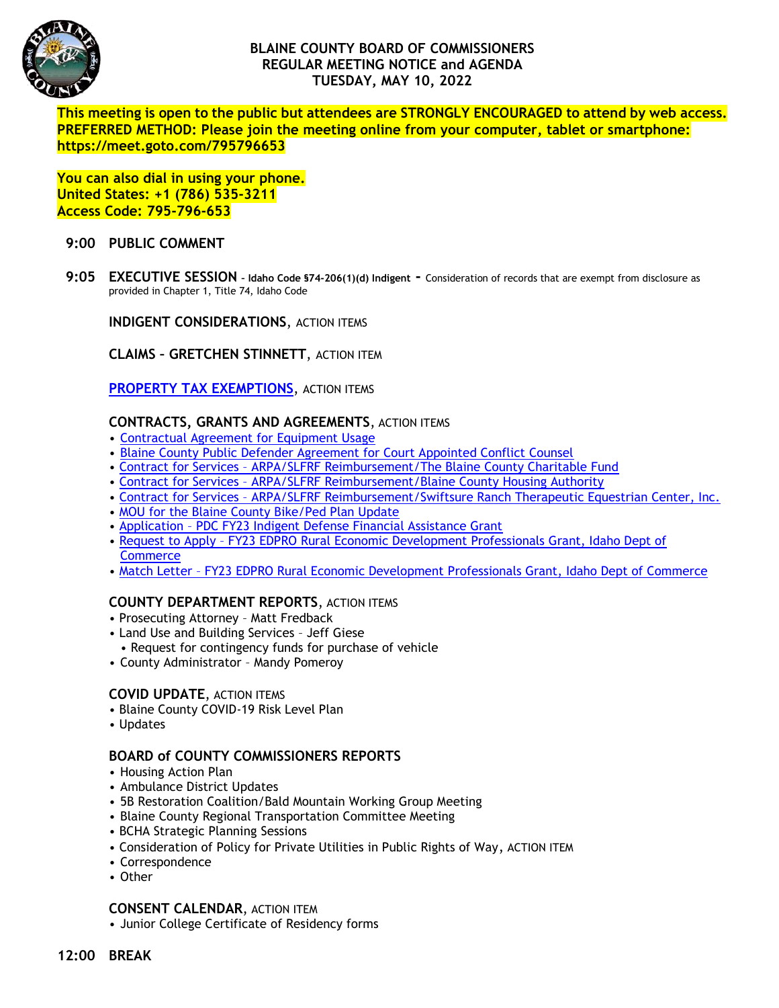

# **BLAINE COUNTY BOARD OF COMMISSIONERS REGULAR MEETING NOTICE and AGENDA TUESDAY, MAY 10, 2022**

**This meeting is open to the public but attendees are STRONGLY ENCOURAGED to attend by web access. PREFERRED METHOD: Please join the meeting online from your computer, tablet or smartphone: https://meet.goto.com/795796653**

**You can also dial in using your phone. United States: +1 (786) 535-3211 Access Code: 795-796-653**

### **9:00 PUBLIC COMMENT**

**9:05 EXECUTIVE SESSION – Idaho Code §74-206(1)(d) Indigent -** Consideration of records that are exempt from disclosure as provided in Chapter 1, Title 74, Idaho Code

**INDIGENT CONSIDERATIONS**, ACTION ITEMS

**CLAIMS – GRETCHEN STINNETT**, ACTION ITEM

**[PROPERTY TAX EXEMPTIONS](https://www.co.blaine.id.us/DocumentCenter/View/18549/2022-Exemption-Applications-Final), ACTION ITEMS** 

### **CONTRACTS, GRANTS AND AGREEMENTS**, ACTION ITEMS

- [Contractual Agreement for Equipment Usage](https://www.co.blaine.id.us/DocumentCenter/View/18638/Contractual-Agreement)
- [Blaine County Public Defender Agreement for Court Appointed Conflict Counsel](https://www.co.blaine.id.us/DocumentCenter/View/18629/Conflict-PD-Contract-FY22-for-Keith-Roark-Increased-rate-1)
- Contract for Services [ARPA/SLFRF Reimbursement/The Blaine County Charitable Fund](https://www.co.blaine.id.us/DocumentCenter/View/18626/BCCF)
- Contract for Services [ARPA/SLFRF Reimbursement/Blaine County Housing Authority](https://www.co.blaine.id.us/DocumentCenter/View/18627/BCHA)
- Contract for Services [ARPA/SLFRF Reimbursement/Swiftsure Ranch Therapeutic Equestrian Center, Inc.](https://www.co.blaine.id.us/DocumentCenter/View/18628/Switfsure-Ranch)
- [MOU for the Blaine County Bike/Ped Plan Update](https://www.co.blaine.id.us/DocumentCenter/View/18625/Bike-Ped-Master-Plan-Final)
- Application [PDC FY23 Indigent Defense Financial Assistance Grant](https://www.co.blaine.id.us/DocumentCenter/View/18624/PDC-grant)
- Request to Apply [FY23 EDPRO Rural Economic Development Professionals Grant, Idaho Dept of](https://www.co.blaine.id.us/DocumentCenter/View/18631/FY23-EDPRO-SVED-Request-to-Apply-v1)  **[Commerce](https://www.co.blaine.id.us/DocumentCenter/View/18631/FY23-EDPRO-SVED-Request-to-Apply-v1)**
- Match Letter [FY23 EDPRO Rural Economic Development Professionals Grant, Idaho Dept of Commerce](https://www.co.blaine.id.us/DocumentCenter/View/18630/grant-matching-letter)

## **COUNTY DEPARTMENT REPORTS**, ACTION ITEMS

- Prosecuting Attorney Matt Fredback
- Land Use and Building Services Jeff Giese
- Request for contingency funds for purchase of vehicle
- County Administrator Mandy Pomeroy

#### **COVID UPDATE**, ACTION ITEMS

- Blaine County COVID-19 Risk Level Plan
- Updates

#### **BOARD of COUNTY COMMISSIONERS REPORTS**

- Housing Action Plan
- Ambulance District Updates
- 5B Restoration Coalition/Bald Mountain Working Group Meeting
- Blaine County Regional Transportation Committee Meeting
- BCHA Strategic Planning Sessions
- Consideration of Policy for Private Utilities in Public Rights of Way, ACTION ITEM
- Correspondence
- Other

#### **CONSENT CALENDAR**, ACTION ITEM

• Junior College Certificate of Residency forms